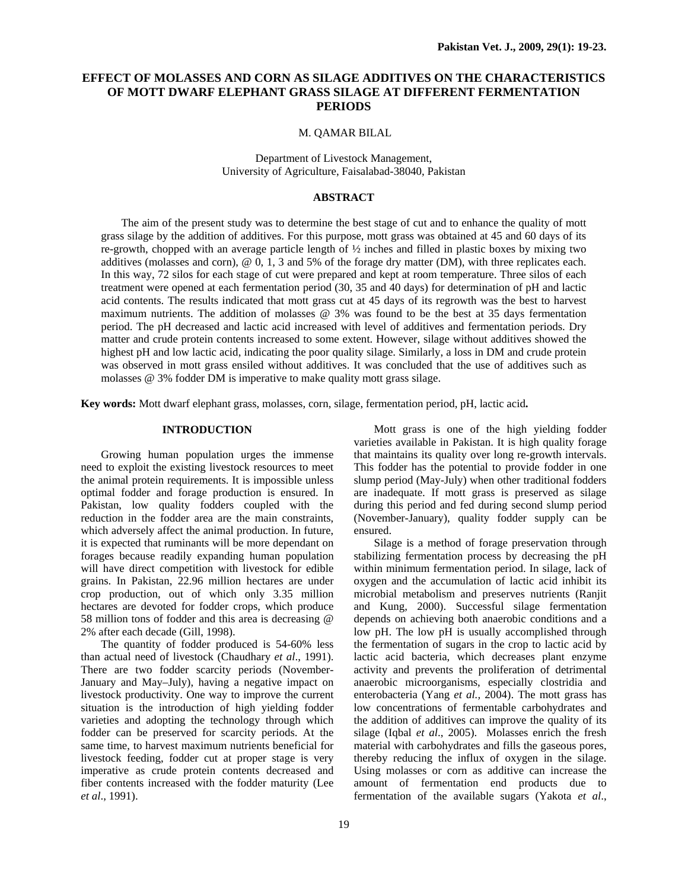# **EFFECT OF MOLASSES AND CORN AS SILAGE ADDITIVES ON THE CHARACTERISTICS OF MOTT DWARF ELEPHANT GRASS SILAGE AT DIFFERENT FERMENTATION PERIODS**

#### M. QAMAR BILAL

Department of Livestock Management, University of Agriculture, Faisalabad-38040, Pakistan

## **ABSTRACT**

The aim of the present study was to determine the best stage of cut and to enhance the quality of mott grass silage by the addition of additives. For this purpose, mott grass was obtained at 45 and 60 days of its re-growth, chopped with an average particle length of  $\frac{1}{2}$  inches and filled in plastic boxes by mixing two additives (molasses and corn),  $@$  0, 1, 3 and 5% of the forage dry matter (DM), with three replicates each. In this way, 72 silos for each stage of cut were prepared and kept at room temperature. Three silos of each treatment were opened at each fermentation period (30, 35 and 40 days) for determination of pH and lactic acid contents. The results indicated that mott grass cut at 45 days of its regrowth was the best to harvest maximum nutrients. The addition of molasses @ 3% was found to be the best at 35 days fermentation period. The pH decreased and lactic acid increased with level of additives and fermentation periods. Dry matter and crude protein contents increased to some extent. However, silage without additives showed the highest pH and low lactic acid, indicating the poor quality silage. Similarly, a loss in DM and crude protein was observed in mott grass ensiled without additives. It was concluded that the use of additives such as molasses @ 3% fodder DM is imperative to make quality mott grass silage.

**Key words:** Mott dwarf elephant grass, molasses, corn, silage, fermentation period, pH, lactic acid**.** 

## **INTRODUCTION**

Growing human population urges the immense need to exploit the existing livestock resources to meet the animal protein requirements. It is impossible unless optimal fodder and forage production is ensured. In Pakistan, low quality fodders coupled with the reduction in the fodder area are the main constraints, which adversely affect the animal production. In future, it is expected that ruminants will be more dependant on forages because readily expanding human population will have direct competition with livestock for edible grains. In Pakistan, 22.96 million hectares are under crop production, out of which only 3.35 million hectares are devoted for fodder crops, which produce 58 million tons of fodder and this area is decreasing @ 2% after each decade (Gill, 1998).

The quantity of fodder produced is 54-60% less than actual need of livestock (Chaudhary *et al*., 1991). There are two fodder scarcity periods (November-January and May–July), having a negative impact on livestock productivity. One way to improve the current situation is the introduction of high yielding fodder varieties and adopting the technology through which fodder can be preserved for scarcity periods. At the same time, to harvest maximum nutrients beneficial for livestock feeding, fodder cut at proper stage is very imperative as crude protein contents decreased and fiber contents increased with the fodder maturity (Lee *et al*., 1991).

Mott grass is one of the high yielding fodder varieties available in Pakistan. It is high quality forage that maintains its quality over long re-growth intervals. This fodder has the potential to provide fodder in one slump period (May-July) when other traditional fodders are inadequate. If mott grass is preserved as silage during this period and fed during second slump period (November-January), quality fodder supply can be ensured.

Silage is a method of forage preservation through stabilizing fermentation process by decreasing the pH within minimum fermentation period. In silage, lack of oxygen and the accumulation of lactic acid inhibit its microbial metabolism and preserves nutrients (Ranjit and Kung, 2000). Successful silage fermentation depends on achieving both anaerobic conditions and a low pH. The low pH is usually accomplished through the fermentation of sugars in the crop to lactic acid by lactic acid bacteria, which decreases plant enzyme activity and prevents the proliferation of detrimental anaerobic microorganisms, especially clostridia and enterobacteria (Yang *et al.,* 2004). The mott grass has low concentrations of fermentable carbohydrates and the addition of additives can improve the quality of its silage (Iqbal *et al*., 2005). Molasses enrich the fresh material with carbohydrates and fills the gaseous pores, thereby reducing the influx of oxygen in the silage. Using molasses or corn as additive can increase the amount of fermentation end products due to fermentation of the available sugars (Yakota *et al*.,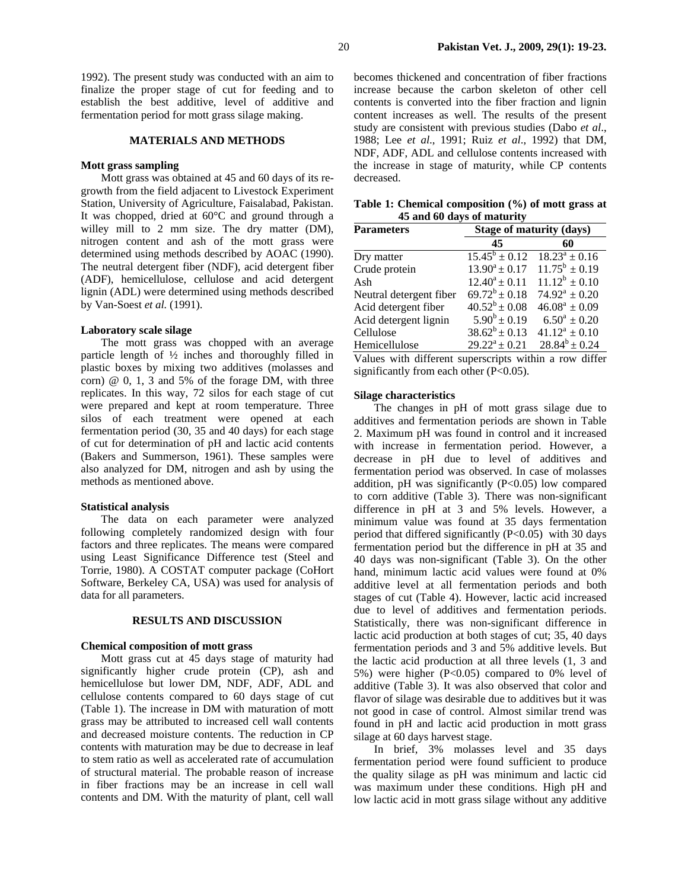1992). The present study was conducted with an aim to finalize the proper stage of cut for feeding and to establish the best additive, level of additive and fermentation period for mott grass silage making.

### **MATERIALS AND METHODS**

## **Mott grass sampling**

Mott grass was obtained at 45 and 60 days of its regrowth from the field adjacent to Livestock Experiment Station, University of Agriculture, Faisalabad, Pakistan. It was chopped, dried at 60°C and ground through a willey mill to 2 mm size. The dry matter (DM), nitrogen content and ash of the mott grass were determined using methods described by AOAC (1990). The neutral detergent fiber (NDF), acid detergent fiber (ADF), hemicellulose, cellulose and acid detergent lignin (ADL) were determined using methods described by Van-Soest *et al.* (1991).

### **Laboratory scale silage**

The mott grass was chopped with an average particle length of ½ inches and thoroughly filled in plastic boxes by mixing two additives (molasses and corn)  $@$  0, 1, 3 and 5% of the forage DM, with three replicates. In this way, 72 silos for each stage of cut were prepared and kept at room temperature. Three silos of each treatment were opened at each fermentation period (30, 35 and 40 days) for each stage of cut for determination of pH and lactic acid contents (Bakers and Summerson, 1961). These samples were also analyzed for DM, nitrogen and ash by using the methods as mentioned above.

## **Statistical analysis**

The data on each parameter were analyzed following completely randomized design with four factors and three replicates. The means were compared using Least Significance Difference test (Steel and Torrie, 1980). A COSTAT computer package (CoHort Software, Berkeley CA, USA) was used for analysis of data for all parameters.

#### **RESULTS AND DISCUSSION**

#### **Chemical composition of mott grass**

Mott grass cut at 45 days stage of maturity had significantly higher crude protein (CP), ash and hemicellulose but lower DM, NDF, ADF, ADL and cellulose contents compared to 60 days stage of cut (Table 1). The increase in DM with maturation of mott grass may be attributed to increased cell wall contents and decreased moisture contents. The reduction in CP contents with maturation may be due to decrease in leaf to stem ratio as well as accelerated rate of accumulation of structural material. The probable reason of increase in fiber fractions may be an increase in cell wall contents and DM. With the maturity of plant, cell wall

becomes thickened and concentration of fiber fractions increase because the carbon skeleton of other cell contents is converted into the fiber fraction and lignin content increases as well. The results of the present study are consistent with previous studies (Dabo *et al*., 1988; Lee *et al*., 1991; Ruiz *et al*., 1992) that DM, NDF, ADF, ADL and cellulose contents increased with the increase in stage of maturity, while CP contents decreased.

|  | Table 1: Chemical composition (%) of mott grass at |  |  |  |
|--|----------------------------------------------------|--|--|--|
|  | 45 and 60 days of maturity                         |  |  |  |

| <b>Parameters</b>       | <b>Stage of maturity (days)</b> |                               |  |  |  |
|-------------------------|---------------------------------|-------------------------------|--|--|--|
|                         | 45                              | 60                            |  |  |  |
| Dry matter              | $15.45^b \pm 0.12$              | $18.23^a \pm 0.16$            |  |  |  |
| Crude protein           | $13.90^a \pm 0.17$              | $11.75^b \pm 0.19$            |  |  |  |
| Ash                     | $12.40^a \pm 0.11$              | $11.12^b \pm 0.10$            |  |  |  |
| Neutral detergent fiber | $69.72^b \pm 0.18$              | $74.92^{\mathrm{a}} \pm 0.20$ |  |  |  |
| Acid detergent fiber    | $40.52^b \pm 0.08$              | $46.08^a \pm 0.09$            |  |  |  |
| Acid detergent lignin   | $5.90^b \pm 0.19$               | $6.50^a \pm 0.20$             |  |  |  |
| Cellulose               | $38.62^b \pm 0.13$              | $41.12^a \pm 0.10$            |  |  |  |
| Hemicellulose           | $29.22^a \pm 0.21$              | $28.84^{b} \pm 0.24$          |  |  |  |

Values with different superscripts within a row differ significantly from each other  $(P<0.05)$ .

## **Silage characteristics**

The changes in pH of mott grass silage due to additives and fermentation periods are shown in Table 2. Maximum pH was found in control and it increased with increase in fermentation period. However, a decrease in pH due to level of additives and fermentation period was observed. In case of molasses addition, pH was significantly (P<0.05) low compared to corn additive (Table 3). There was non-significant difference in pH at 3 and 5% levels. However, a minimum value was found at 35 days fermentation period that differed significantly  $(P<0.05)$  with 30 days fermentation period but the difference in pH at 35 and 40 days was non-significant (Table 3). On the other hand, minimum lactic acid values were found at 0% additive level at all fermentation periods and both stages of cut (Table 4). However, lactic acid increased due to level of additives and fermentation periods. Statistically, there was non-significant difference in lactic acid production at both stages of cut; 35, 40 days fermentation periods and 3 and 5% additive levels. But the lactic acid production at all three levels (1, 3 and 5%) were higher (P<0.05) compared to 0% level of additive (Table 3). It was also observed that color and flavor of silage was desirable due to additives but it was not good in case of control. Almost similar trend was found in pH and lactic acid production in mott grass silage at 60 days harvest stage.

In brief, 3% molasses level and 35 days fermentation period were found sufficient to produce the quality silage as pH was minimum and lactic cid was maximum under these conditions. High pH and low lactic acid in mott grass silage without any additive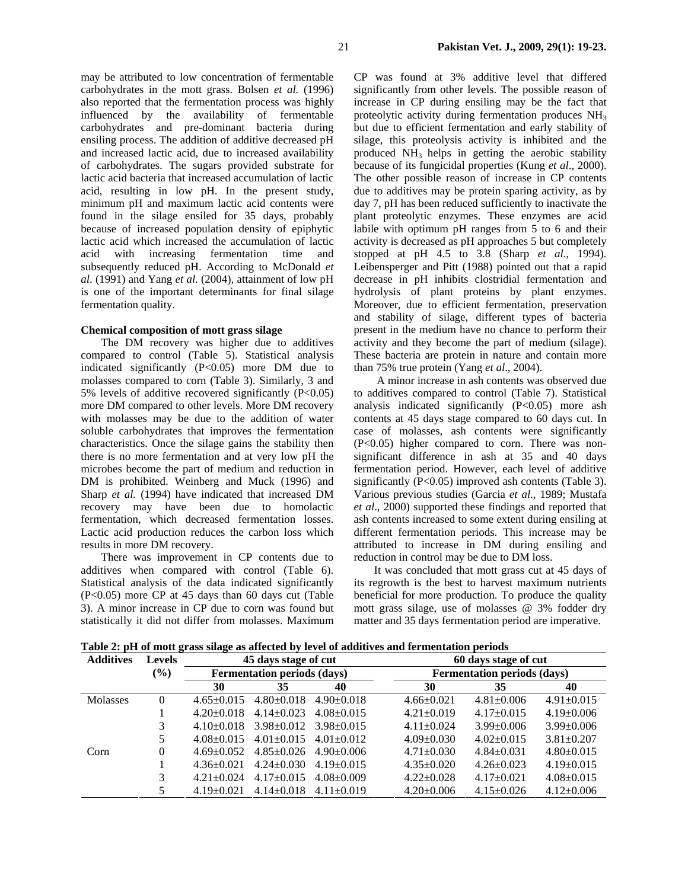may be attributed to low concentration of fermentable carbohydrates in the mott grass. Bolsen *et al.* (1996) also reported that the fermentation process was highly influenced by the availability of fermentable carbohydrates and pre-dominant bacteria during ensiling process. The addition of additive decreased pH and increased lactic acid, due to increased availability of carbohydrates. The sugars provided substrate for lactic acid bacteria that increased accumulation of lactic acid, resulting in low pH. In the present study, minimum pH and maximum lactic acid contents were found in the silage ensiled for 35 days, probably because of increased population density of epiphytic lactic acid which increased the accumulation of lactic acid with increasing fermentation time and subsequently reduced pH. According to McDonald *et al*. (1991) and Yang *et al*. (2004), attainment of low pH is one of the important determinants for final silage fermentation quality.

## **Chemical composition of mott grass silage**

The DM recovery was higher due to additives compared to control (Table 5). Statistical analysis indicated significantly (P<0.05) more DM due to molasses compared to corn (Table 3). Similarly, 3 and 5% levels of additive recovered significantly (P<0.05) more DM compared to other levels. More DM recovery with molasses may be due to the addition of water soluble carbohydrates that improves the fermentation characteristics. Once the silage gains the stability then there is no more fermentation and at very low pH the microbes become the part of medium and reduction in DM is prohibited. Weinberg and Muck (1996) and Sharp *et al.* (1994) have indicated that increased DM recovery may have been due to homolactic fermentation, which decreased fermentation losses. Lactic acid production reduces the carbon loss which results in more DM recovery.

There was improvement in CP contents due to additives when compared with control (Table 6). Statistical analysis of the data indicated significantly (P<0.05) more CP at 45 days than 60 days cut (Table 3). A minor increase in CP due to corn was found but statistically it did not differ from molasses. Maximum CP was found at 3% additive level that differed significantly from other levels. The possible reason of increase in CP during ensiling may be the fact that proteolytic activity during fermentation produces  $NH<sub>3</sub>$ but due to efficient fermentation and early stability of silage, this proteolysis activity is inhibited and the produced NH3 helps in getting the aerobic stability because of its fungicidal properties (Kung *et al*.*,* 2000). The other possible reason of increase in CP contents due to additives may be protein sparing activity, as by day 7, pH has been reduced sufficiently to inactivate the plant proteolytic enzymes. These enzymes are acid labile with optimum pH ranges from 5 to 6 and their activity is decreased as pH approaches 5 but completely stopped at pH 4.5 to 3.8 (Sharp *et al*., 1994). Leibensperger and Pitt (1988) pointed out that a rapid decrease in pH inhibits clostridial fermentation and hydrolysis of plant proteins by plant enzymes. Moreover, due to efficient fermentation, preservation and stability of silage, different types of bacteria present in the medium have no chance to perform their activity and they become the part of medium (silage). These bacteria are protein in nature and contain more than 75% true protein (Yang *et al*., 2004).

 A minor increase in ash contents was observed due to additives compared to control (Table 7). Statistical analysis indicated significantly (P<0.05) more ash contents at 45 days stage compared to 60 days cut. In case of molasses, ash contents were significantly (P<0.05) higher compared to corn. There was nonsignificant difference in ash at 35 and 40 days fermentation period. However, each level of additive significantly  $(P<0.05)$  improved ash contents (Table 3). Various previous studies (Garcia *et al*., 1989; Mustafa *et al*., 2000) supported these findings and reported that ash contents increased to some extent during ensiling at different fermentation periods. This increase may be attributed to increase in DM during ensiling and reduction in control may be due to DM loss.

It was concluded that mott grass cut at 45 days of its regrowth is the best to harvest maximum nutrients beneficial for more production. To produce the quality mott grass silage, use of molasses @ 3% fodder dry matter and 35 days fermentation period are imperative.

**Table 2: pH of mott grass silage as affected by level of additives and fermentation periods**

| <b>Additives</b> | <b>Levels</b> | 45 days stage of cut |                                    |                  | 60 days stage of cut |                  |                                    |  |
|------------------|---------------|----------------------|------------------------------------|------------------|----------------------|------------------|------------------------------------|--|
|                  | $(\%)$        |                      | <b>Fermentation periods (days)</b> |                  |                      |                  | <b>Fermentation periods (days)</b> |  |
|                  |               | 30                   | 35                                 | 40               | 30                   | 35               | 40                                 |  |
| Molasses         |               | $4.65 \pm 0.015$     | $4.80 \pm 0.018$                   | $4.90 \pm 0.018$ | $4.66 \pm 0.021$     | $4.81 \pm 0.006$ | $4.91 \pm 0.015$                   |  |
|                  |               | $4.20 \pm 0.018$     | $4.14 \pm 0.023$                   | $4.08 \pm 0.015$ | $4.21 \pm 0.019$     | $4.17 \pm 0.015$ | $4.19 \pm 0.006$                   |  |
|                  |               | $4.10\pm0.018$       | $3.98 \pm 0.012$                   | $3.98 \pm 0.015$ | $4.11 \pm 0.024$     | $3.99 \pm 0.006$ | $3.99 \pm 0.006$                   |  |
|                  |               | $4.08 \pm 0.015$     | $4.01 \pm 0.015$                   | $4.01 \pm 0.012$ | $4.09 \pm 0.030$     | $4.02 \pm 0.015$ | $3.81 \pm 0.207$                   |  |
| Corn             | 0             | $4.69 \pm 0.052$     | $4.85 \pm 0.026$                   | $4.90+0.006$     | $4.71 \pm 0.030$     | $4.84 \pm 0.031$ | $4.80 \pm 0.015$                   |  |
|                  |               | $4.36 \pm 0.021$     | $4.24 \pm 0.030$                   | $4.19 \pm 0.015$ | $4.35+0.020$         | $4.26 \pm 0.023$ | $4.19 \pm 0.015$                   |  |
|                  |               | $4.21 \pm 0.024$     | $4.17 \pm 0.015$                   | $4.08 \pm 0.009$ | $4.22+0.028$         | $4.17 \pm 0.021$ | $4.08 \pm 0.015$                   |  |
|                  |               | $4.19 \pm 0.021$     | $4.14 \pm 0.018$                   | $4.11 \pm 0.019$ | $4.20 \pm 0.006$     | $4.15 \pm 0.026$ | $4.12 \pm 0.006$                   |  |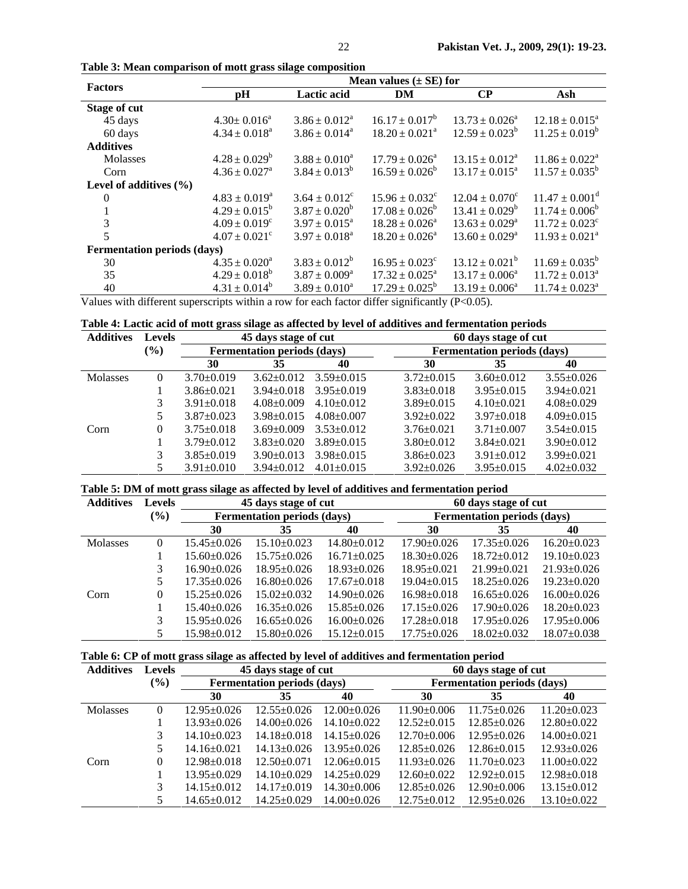| <b>Factors</b>                     |                               |                          | Mean values $(\pm SE)$ for     |                              |                                |
|------------------------------------|-------------------------------|--------------------------|--------------------------------|------------------------------|--------------------------------|
|                                    | pH                            | Lactic acid              | DM                             | $\bf CP$                     | Ash                            |
| <b>Stage of cut</b>                |                               |                          |                                |                              |                                |
| 45 days                            | $4.30 \pm 0.016^a$            | $3.86 \pm 0.012^a$       | $16.17 \pm 0.017^b$            | $13.73 \pm 0.026^a$          | $12.18 \pm 0.015^a$            |
| 60 days                            | $4.34 \pm 0.018^a$            | $3.86 \pm 0.014^a$       | $18.20 \pm 0.021^a$            | $12.59 \pm 0.023^b$          | $11.25 \pm 0.019^b$            |
| <b>Additives</b>                   |                               |                          |                                |                              |                                |
| Molasses                           | $4.28 \pm 0.029^b$            | $3.88 \pm 0.010^a$       | $17.79 \pm 0.026^{\circ}$      | $13.15 \pm 0.012^a$          | $11.86 \pm 0.022^{\text{a}}$   |
| Corn                               | $4.36 \pm 0.027$ <sup>a</sup> | $3.84 \pm 0.013^b$       | $16.59 \pm 0.026^b$            | $13.17 \pm 0.015^{\text{a}}$ | $11.57 \pm 0.035^b$            |
| Level of additives $(\% )$         |                               |                          |                                |                              |                                |
| $\theta$                           | $4.83 \pm 0.019^a$            | $3.64 \pm 0.012^{\circ}$ | $15.96 \pm 0.032$ <sup>c</sup> | $12.04 \pm 0.070^{\circ}$    | $11.47 \pm 0.001^{\text{d}}$   |
|                                    | $4.29 \pm 0.015^b$            | $3.87 \pm 0.020^b$       | $17.08 \pm 0.026^b$            | $13.41 \pm 0.029^b$          | $11.74 \pm 0.006^b$            |
| 3                                  | $4.09 \pm 0.019^c$            | $3.97 \pm 0.015^{\circ}$ | $18.28 \pm 0.026^a$            | $13.63 \pm 0.029^{\circ}$    | $11.72 \pm 0.023$ <sup>c</sup> |
| 5                                  | $4.07 \pm 0.021$ <sup>c</sup> | $3.97 \pm 0.018^a$       | $18.20 \pm 0.026^a$            | $13.60 \pm 0.029^{\circ}$    | $11.93 \pm 0.021^a$            |
| <b>Fermentation periods (days)</b> |                               |                          |                                |                              |                                |
| 30                                 | $4.35 \pm 0.020^a$            | $3.83 \pm 0.012^b$       | $16.95 \pm 0.023$ <sup>c</sup> | $13.12 \pm 0.021^b$          | $11.69 \pm 0.035^{\circ}$      |
| 35                                 | $4.29 \pm 0.018^b$            | $3.87 \pm 0.009^a$       | $17.32 \pm 0.025^{\circ}$      | $13.17 \pm 0.006^a$          | $11.72 \pm 0.013^a$            |
| 40                                 | $4.31 \pm 0.014^b$            | $3.89 \pm 0.010^a$       | $17.29 \pm 0.025^{\circ}$      | $13.19 \pm 0.006^a$          | $11.74 \pm 0.023^{\circ}$      |

**Table 3: Mean comparison of mott grass silage composition** 

Values with different superscripts within a row for each factor differ significantly (P<0.05).

|  |  |  | Table 4: Lactic acid of mott grass silage as affected by level of additives and fermentation periods |  |
|--|--|--|------------------------------------------------------------------------------------------------------|--|
|  |  |  |                                                                                                      |  |

| <b>Additives</b> | <b>Levels</b> | 45 days stage of cut |                                    |                  | 60 days stage of cut |                                    |                  |  |
|------------------|---------------|----------------------|------------------------------------|------------------|----------------------|------------------------------------|------------------|--|
|                  | $(\%)$        |                      | <b>Fermentation periods (days)</b> |                  |                      | <b>Fermentation periods (days)</b> |                  |  |
|                  |               | 30                   | 35                                 | 40               | 30                   | 35                                 | 40               |  |
| Molasses         | 0             | $3.70 \pm 0.019$     | $3.62 \pm 0.012$                   | $3.59 \pm 0.015$ | $3.72 \pm 0.015$     | $3.60 \pm 0.012$                   | $3.55 \pm 0.026$ |  |
|                  |               | $3.86 \pm 0.021$     | $3.94 \pm 0.018$                   | $3.95 \pm 0.019$ | $3.83 \pm 0.018$     | $3.95 \pm 0.015$                   | $3.94 \pm 0.021$ |  |
|                  | 3             | $3.91 \pm 0.018$     | $4.08 \pm 0.009$                   | $4.10 \pm 0.012$ | $3.89 \pm 0.015$     | $4.10\pm0.021$                     | $4.08+0.029$     |  |
|                  |               | $3.87 \pm 0.023$     | $3.98 \pm 0.015$                   | $4.08 \pm 0.007$ | $3.92+0.022$         | $3.97 \pm 0.018$                   | $4.09 \pm 0.015$ |  |
| Corn             | 0             | $3.75 \pm 0.018$     | $3.69 \pm 0.009$                   | $3.53 \pm 0.012$ | $3.76 \pm 0.021$     | $3.71 \pm 0.007$                   | $3.54 \pm 0.015$ |  |
|                  |               | $3.79 \pm 0.012$     | $3.83 \pm 0.020$                   | $3.89 \pm 0.015$ | $3.80 \pm 0.012$     | $3.84 + 0.021$                     | $3.90 \pm 0.012$ |  |
|                  | 3             | $3.85 \pm 0.019$     | $3.90 \pm 0.013$                   | $3.98 \pm 0.015$ | $3.86 \pm 0.023$     | $3.91 \pm 0.012$                   | $3.99 \pm 0.021$ |  |
|                  |               | $3.91 \pm 0.010$     | $3.94 \pm 0.012$                   | $4.01 \pm 0.015$ | $3.92 \pm 0.026$     | $3.95 \pm 0.015$                   | $4.02 \pm 0.032$ |  |

**Table 5: DM of mott grass silage as affected by level of additives and fermentation period** 

| <b>Additives</b> | <b>Levels</b> |                   | 45 days stage of cut               |                   | 60 days stage of cut               |                   |                   |  |  |
|------------------|---------------|-------------------|------------------------------------|-------------------|------------------------------------|-------------------|-------------------|--|--|
|                  | (%)           |                   | <b>Fermentation periods (days)</b> |                   | <b>Fermentation periods (days)</b> |                   |                   |  |  |
|                  |               | 30                | 35                                 | 40                | 30                                 | 35                | 40                |  |  |
| Molasses         | 0             | $15.45 \pm 0.026$ | $15.10\pm0.023$                    | $14.80 \pm 0.012$ | $17.90 \pm 0.026$                  | $17.35 \pm 0.026$ | $16.20 \pm 0.023$ |  |  |
|                  |               | $15.60 \pm 0.026$ | $15.75 \pm 0.026$                  | $16.71 \pm 0.025$ | $18.30 \pm 0.026$                  | $18.72 \pm 0.012$ | $19.10 \pm 0.023$ |  |  |
|                  | 3             | $16.90 \pm 0.026$ | $18.95 \pm 0.026$                  | $18.93 \pm 0.026$ | $18.95 \pm 0.021$                  | $21.99 \pm 0.021$ | $21.93 \pm 0.026$ |  |  |
|                  |               | $17.35 \pm 0.026$ | $16.80 \pm 0.026$                  | $17.67 \pm 0.018$ | $19.04 \pm 0.015$                  | $18.25 \pm 0.026$ | $19.23 \pm 0.020$ |  |  |
| Corn             | 0             | $15.25 \pm 0.026$ | $15.02 \pm 0.032$                  | $14.90 \pm 0.026$ | $16.98 \pm 0.018$                  | $16.65 \pm 0.026$ | $16.00+0.026$     |  |  |
|                  |               | $15.40 \pm 0.026$ | $16.35 \pm 0.026$                  | $15.85 \pm 0.026$ | $17.15 \pm 0.026$                  | $17.90 \pm 0.026$ | $18.20 \pm 0.023$ |  |  |
|                  | 3             | $15.95 \pm 0.026$ | $16.65 \pm 0.026$                  | $16.00+0.026$     | $17.28 \pm 0.018$                  | $17.95 \pm 0.026$ | $17.95 \pm 0.006$ |  |  |
|                  |               | $15.98 \pm 0.012$ | $15.80 \pm 0.026$                  | $15.12 \pm 0.015$ | $17.75 \pm 0.026$                  | $18.02 \pm 0.032$ | $18.07 \pm 0.038$ |  |  |

|  |  |  | Table 6: CP of mott grass silage as affected by level of additives and fermentation period |  |
|--|--|--|--------------------------------------------------------------------------------------------|--|
|  |  |  |                                                                                            |  |

| <b>Additives</b> | <b>Levels</b> |                   | 45 days stage of cut               |                   | 60 days stage of cut |                                    |                   |  |  |
|------------------|---------------|-------------------|------------------------------------|-------------------|----------------------|------------------------------------|-------------------|--|--|
|                  | $(\%)$        |                   | <b>Fermentation periods (days)</b> |                   |                      | <b>Fermentation periods (days)</b> |                   |  |  |
|                  |               | 30                | 35                                 | 40                | 30                   | 35                                 | 40                |  |  |
| <b>Molasses</b>  |               | $12.95 \pm 0.026$ | $12.55+0.026$                      | $12.00+0.026$     | $11.90\pm0.006$      | $11.75 \pm 0.026$                  | $11.20 \pm 0.023$ |  |  |
|                  |               | $13.93 \pm 0.026$ | $14.00+0.026$                      | $14.10 \pm 0.022$ | $12.52 \pm 0.015$    | $12.85 \pm 0.026$                  | $12.80+0.022$     |  |  |
|                  | 3             | $14.10 \pm 0.023$ | $14.18 \pm 0.018$                  | $14.15 \pm 0.026$ | $12.70 \pm 0.006$    | $12.95 \pm 0.026$                  | $14.00 \pm 0.021$ |  |  |
|                  |               | $14.16 \pm 0.021$ | $14.13 \pm 0.026$                  | $13.95 \pm 0.026$ | $12.85 \pm 0.026$    | $12.86 \pm 0.015$                  | $12.93 \pm 0.026$ |  |  |
| Corn             | 0             | $12.98 \pm 0.018$ | $12.50 \pm 0.071$                  | $12.06 \pm 0.015$ | $11.93 \pm 0.026$    | $11.70 \pm 0.023$                  | $11.00 \pm 0.022$ |  |  |
|                  |               | $13.95 \pm 0.029$ | $14.10\pm0.029$                    | $14.25 \pm 0.029$ | $12.60 \pm 0.022$    | $12.92 \pm 0.015$                  | $12.98 \pm 0.018$ |  |  |
|                  | 3             | $14.15 \pm 0.012$ | $14.17 \pm 0.019$                  | $14.30 \pm 0.006$ | $12.85 \pm 0.026$    | $12.90 \pm 0.006$                  | $13.15 \pm 0.012$ |  |  |
|                  |               | 14.65±0.012       | $14.25 \pm 0.029$                  | $14.00+0.026$     | $12.75 \pm 0.012$    | $12.95 \pm 0.026$                  | $13.10+0.022$     |  |  |